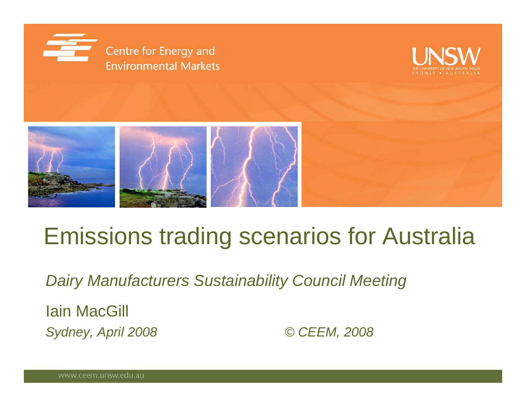





# Emissions trading scenarios for Australia

*Dairy Manufacturers Sustainability Council Meeting*

Iain MacGill *Sydney, April 2008 © CEEM, 2008*

www.ceem.unsw.edu.au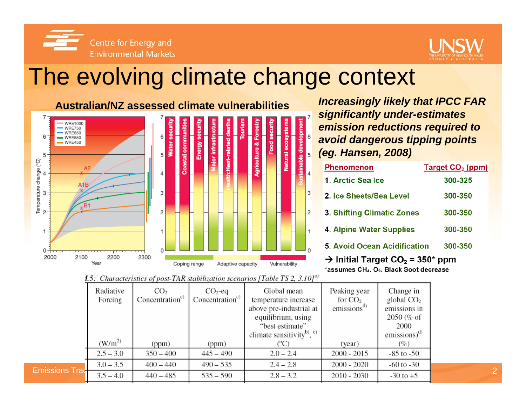



#### The evolving climate change context



*Increasingly likely that IPCC FAR significantly under-estimates emission reductions required to avoid dangerous tipping points (eg. Hansen, 2008)*

| <b>Phenomenon</b>                                                                                             | Target CO <sub>2</sub> (ppm) |  |  |  |  |  |
|---------------------------------------------------------------------------------------------------------------|------------------------------|--|--|--|--|--|
| 1. Arctic Sea Ice                                                                                             | 300-325                      |  |  |  |  |  |
| 2. Ice Sheets/Sea Level                                                                                       | 300-350                      |  |  |  |  |  |
| 3. Shifting Climatic Zones                                                                                    | 300-350                      |  |  |  |  |  |
| <b>4. Alpine Water Supplies</b>                                                                               | 300-350                      |  |  |  |  |  |
| <b>5. Avoid Ocean Acidification</b>                                                                           | 300-350                      |  |  |  |  |  |
| $\rightarrow$ Initial Target CO <sub>2</sub> = 350* ppm<br>*assumes CH., O <sub>2</sub> , Black Soot decrease |                              |  |  |  |  |  |

**1.5**: Characteristics of post-TAR stabilization scenarios [Table TS 2, 3.10]<sup>a)</sup>

|                       | Radiative<br>Forcing | CO <sub>2</sub><br>Concentration <sup>c)</sup> | $CO2$ -eq<br>Concentration <sup>c)</sup> | Global mean<br>temperature increase<br>above pre-industrial at<br>equilibrium, using<br>"best estimate"<br>climate sensitivity <sup>b)</sup> , $\circ$ | Peaking year<br>for $CO2$<br>emissions <sup>a</sup> | Change in<br>global $CO2$<br>emissions in<br>$2050$ (% of<br>2000<br>emissions) $^{d)}$ |                |
|-----------------------|----------------------|------------------------------------------------|------------------------------------------|--------------------------------------------------------------------------------------------------------------------------------------------------------|-----------------------------------------------------|-----------------------------------------------------------------------------------------|----------------|
|                       | $(W/m^2)$            | (ppm)                                          | (ppm)                                    |                                                                                                                                                        | (year)                                              | (%)                                                                                     |                |
|                       | $2.5 - 3.0$          | $350 - 400$                                    | $445 - 490$                              | $2.0 - 2.4$                                                                                                                                            | $2000 - 2015$                                       | $-85$ to $-50$                                                                          |                |
|                       | $3.0 - 3.5$          | $400 - 440$                                    | $490 - 535$                              | $2.4 - 2.8$                                                                                                                                            | $2000 - 2020$                                       | $-60$ to $-30$                                                                          |                |
| <b>Emissions Trad</b> | $3.5 - 4.0$          | $440 - 485$                                    | $535 - 590$                              | $2.8 - 3.2$                                                                                                                                            | $2010 - 2030$                                       | $-30$ to $+5$                                                                           | $\overline{2}$ |
|                       |                      |                                                |                                          |                                                                                                                                                        |                                                     |                                                                                         |                |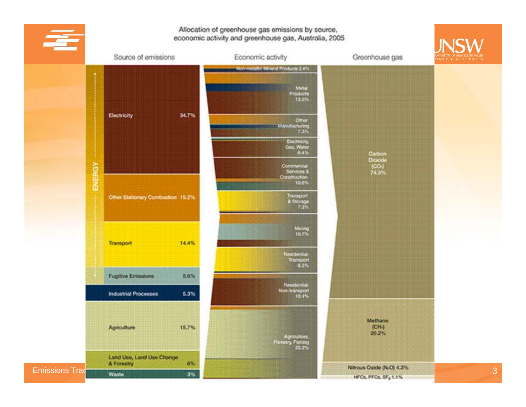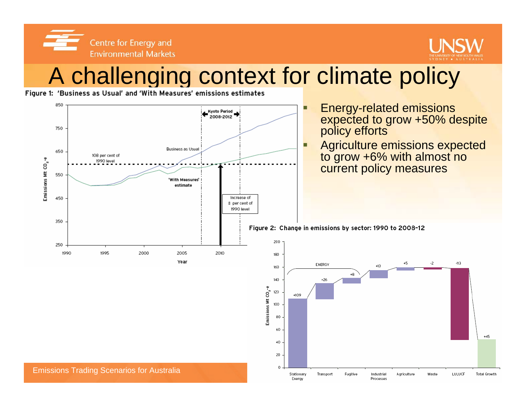Centre for Energy and **Environmental Markets** 



# A challenging context for climate policy

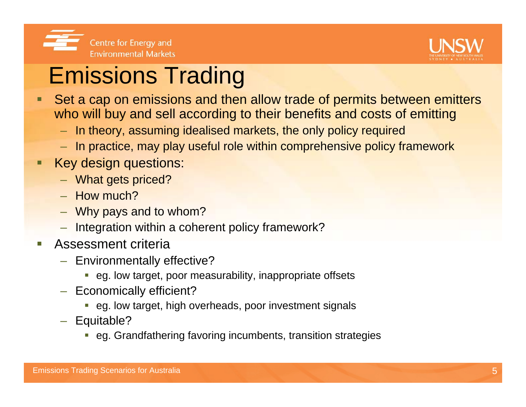



# Emissions Trading

- $\blacksquare$  Set a cap on emissions and then allow trade of permits between emitters who will buy and sell according to their benefits and costs of emitting
	- In theory, assuming idealised markets, the only policy required
	- In practice, may play useful role within comprehensive policy framework
- $\blacksquare$  Key design questions:
	- What gets priced?
	- How much?
	- Why pays and to whom?
	- Integration within a coherent policy framework?
- $\mathcal{L}_{\mathcal{A}}$  Assessment criteria
	- Environmentally effective?
		- eg. low target, poor measurability, inappropriate offsets
	- Economically efficient?
		- eg. low target, high overheads, poor investment signals
	- Equitable?
		- eg. Grandfathering favoring incumbents, transition strategies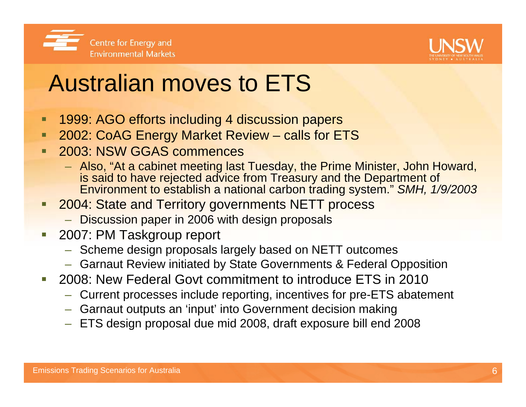



# Australian moves to ETS

- $\blacksquare$ 1999: AGO efforts including 4 discussion papers
- $\blacksquare$ 2002: CoAG Energy Market Review – calls for ETS
- 2003: NSW GGAS commences
	- Also, "At a cabinet meeting last Tuesday, the Prime Minister, John Howard, is said to have rejected advice from Treasury and the Department of Environment to establish a national carbon trading system." *SMH, 1/9/2003*
- 2004: State and Territory governments NETT process
	- Discussion paper in 2006 with design proposals
- Ξ 2007: PM Taskgroup report
	- Scheme design proposals largely based on NETT outcomes
	- Garnaut Review initiated by State Governments & Federal Opposition
- 2008: New Federal Govt commitment to introduce ETS in 2010
	- Current processes include reporting, incentives for pre-ETS abatement
	- Garnaut outputs an 'input' into Government decision making
	- ETS design proposal due mid 2008, draft exposure bill end 2008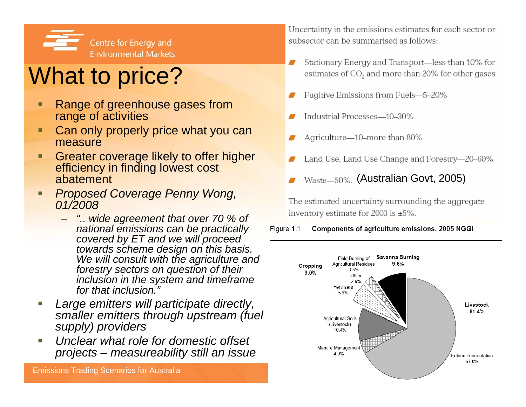

# What to price?

- Ξ Range of greenhouse gases from range of activities
- ٠ Can only properly price what you can measure
- о Greater coverage likely to offer higher efficiency in finding lowest cost abatement
- п *Proposed Coverage Penny Wong, 01/2008*
	- *".. wide agreement that over 70 % of national emissions can be practically covered by ET and we will proceed towards scheme design on this basis. We will consult with the agriculture and forestry sectors on question of their inclusion in the system and timeframe for that inclusion."*
- ×, *Large emitters will participate directly, smaller emitters through upstream (fuel supply) providers*
- ×. *Unclear what role for domestic offset projects – measureability still an issue*

Emissions Trading Scenarios for Australia

Uncertainty in the emissions estimates for each sector or subsector can be summarised as follows:

- Stationary Energy and Transport—less than 10% for estimates of CO, and more than 20% for other gases
- Fugitive Emissions from Fuels-5-20%
- Industrial Processes-10-30%
- Agriculture-10-more than 80%
- Land Use, Land Use Change and Forestry-20-60%
- Waste-50%. (Australian Govt, 2005)

The estimated uncertainty surrounding the aggregate inventory estimate for 2003 is  $\pm 5\%$ .

#### Components of agriculture emissions, 2005 NGGI Figure 1.1

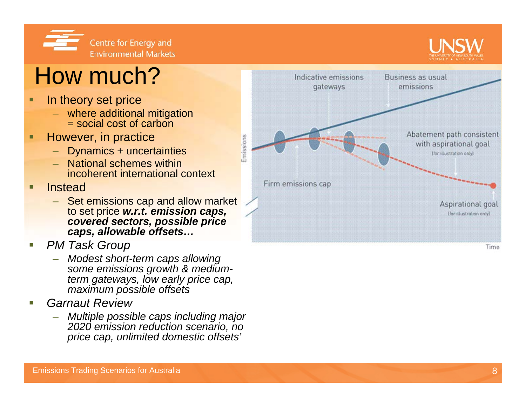

# How much?

- □ In theory set price
	- where additional mitigation = social cost of carbon
- □ However, in practice
	- Dynamics + uncertainties
	- National schemes within incoherent international context
- П Instead
	- Set emissions cap and allow market to set price *w.r.t. emission caps, covered sectors, possible price caps, allowable offsets…*

Emissions

- П *PM Task Group*
	- *Modest short-term caps allowing some emissions growth & mediumterm gateways, low early price cap, maximum possible offsets*
- П *Garnaut Review*
	- *Multiple possible caps including major 2020 emission reduction scenario, no price cap, unlimited domestic offsets'*

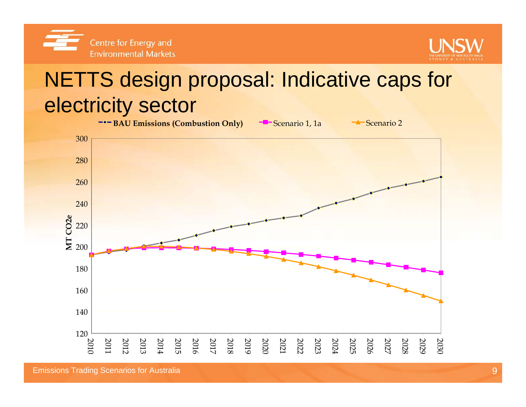



### NETTS design proposal: Indicative caps for electricity sector



Emissions Trading Scenarios for Australia 9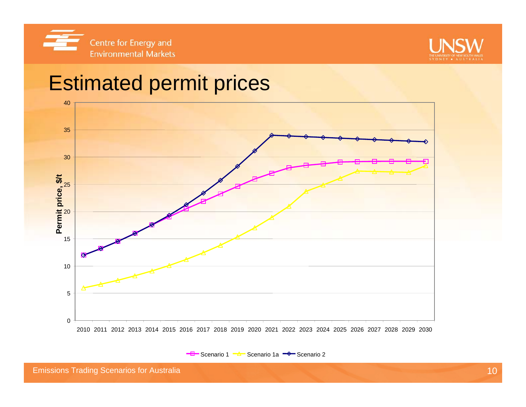



#### Estimated permit prices



Scenario 1 <del>- A -</del> Scenario 1a <del>- V -</del> Scenario 2

**Emissions Trading Scenarios for Australia** 10 and 10 and 10 and 10 and 10 and 10 and 10 and 10 and 10 and 10 and 10 and 10 and 10 and 10 and 10 and 10 and 10 and 10 and 10 and 10 and 10 and 10 and 10 and 10 and 10 and 10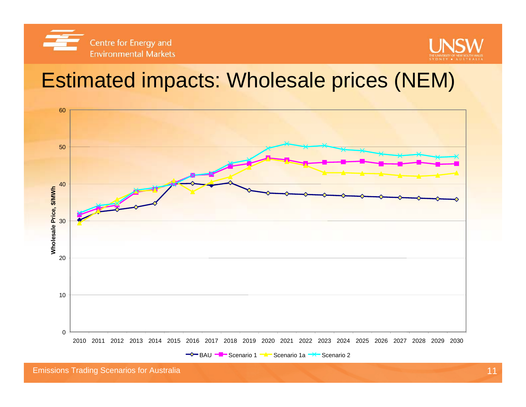



#### Estimated impacts: Wholesale prices (NEM)

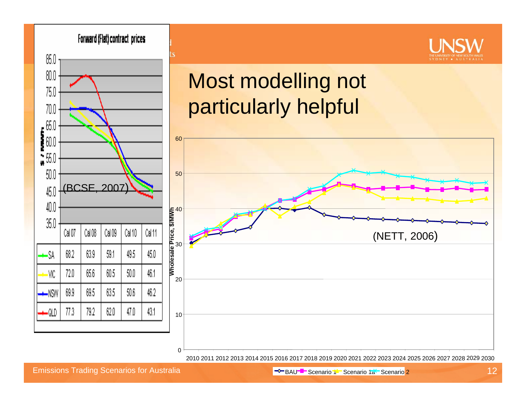

2010 2011 2012 2013 2014 2015 2016 2017 2018 2019 2020 2021 2022 2023 2024 2025 2026 2027 2028 2029 2030

Emissions Trading Scenarios for Australia 12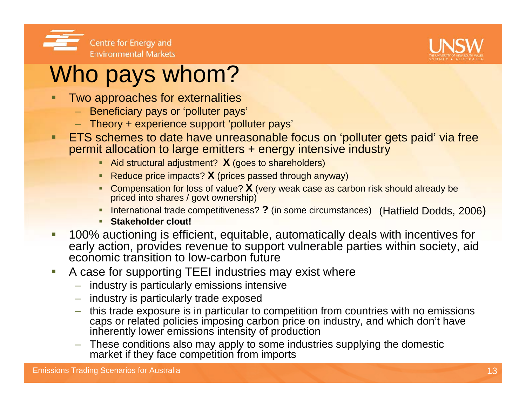



## Who pays whom?

- Two approaches for externalities
	- Beneficiary pays or 'polluter pays'
	- Theory + experience support 'polluter pays'
- п ETS schemes to date have unreasonable focus on 'polluter gets paid' via free permit allocation to large emitters + energy intensive industry
	- Aid structural adjustment? **X** (goes to shareholders)
	- Reduce price impacts? **X** (prices passed through anyway)
	- **Compensation for loss of value? X** (very weak case as carbon risk should already be priced into shares / govt ownership)
	- **International trade competitiveness? ?** (in some circumstances) (Hatfield Dodds, 2006)
	- **Stakeholder clout!**
- $\mathcal{L}_{\mathcal{A}}$  100% auctioning is efficient, equitable, automatically deals with incentives for early action, provides revenue to support vulnerable parties within society, aid economic transition to low-carbon future
- $\mathcal{L}_{\mathcal{A}}$  A case for supporting TEEI industries may exist where
	- industry is particularly emissions intensive
	- industry is particularly trade exposed
	- this trade exposure is in particular to competition from countries with no emissions caps or related policies imposing carbon price on industry, and which don't have inherently lower emissions intensity of production
	- These conditions also may apply to some industries supplying the domestic market if they face competition from imports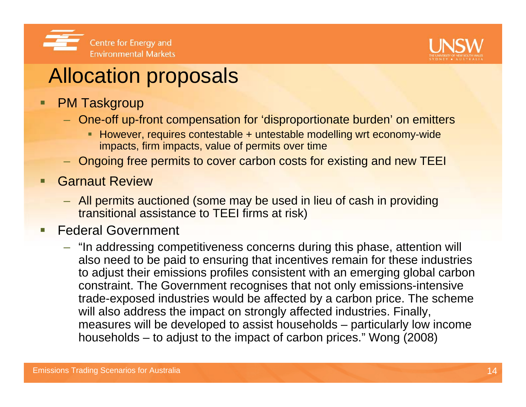



#### Allocation proposals

- $\blacksquare$  PM Taskgroup
	- One-off up-front compensation for 'disproportionate burden' on emitters
		- However, requires contestable + untestable modelling wrt economy-wide impacts, firm impacts, value of permits over time
	- Ongoing free permits to cover carbon costs for existing and new TEEI
- Г Garnaut Review
	- All permits auctioned (some may be used in lieu of cash in providing transitional assistance to TEEI firms at risk)
- $\blacksquare$  Federal Government
	- "In addressing competitiveness concerns during this phase, attention will also need to be paid to ensuring that incentives remain for these industries to adjust their emissions profiles consistent with an emerging global carbon constraint. The Government recognises that not only emissions-intensive trade-exposed industries would be affected by a carbon price. The scheme will also address the impact on strongly affected industries. Finally, measures will be developed to assist households – particularly low income households – to adjust to the impact of carbon prices." Wong (2008)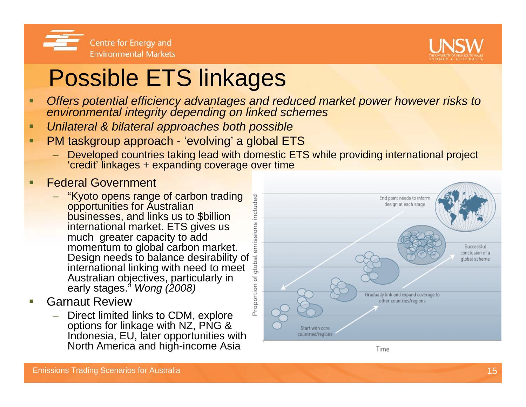



# Possible ETS linkages

- □ *Offers potential efficiency advantages and reduced market power however risks to environmental integrity depending on linked schemes*
- п *Unilateral & bilateral approaches both possible*
- п PM taskgroup approach - 'evolving' a global ETS
	- Developed countries taking lead with domestic ETS while providing international project 'credit' linkages + expanding coverage over time
- П Federal Government
	- "Kyoto opens range of carbon trading<br>opportunities for Australian businesses, and links us to \$billion international market. ETS gives us much greater capacity to add momentum to global carbon market. Design needs to balance desirability of international linking with need to meet Australian objectives, particularly in early stages." *Wong (2008)*
- П Garnaut Review
	- Direct limited links to CDM, explore options for linkage with NZ, PNG & Indonesia, EU, later opportunities with North America and high-income Asia



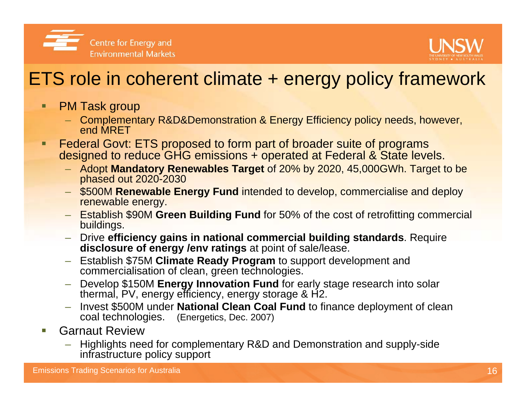

#### ETS role in coherent climate + energy policy framework

- □ PM Task group
	- Complementary R&D&Demonstration & Energy Efficiency policy needs, however, end MRET
- □ Federal Govt: ETS proposed to form part of broader suite of programs designed to reduce GHG emissions + operated at Federal & State levels.
	- Adopt **Mandatory Renewables Target** of 20% by 2020, 45,000GWh. Target to be phased out 2020-2030
	- \$500M **Renewable Energy Fund** intended to develop, commercialise and deploy renewable energy.
	- Establish \$90M **Green Building Fund** for 50% of the cost of retrofitting commercial buildings.
	- Drive **efficiency gains in national commercial building standards**. Require **disclosure of energy /env ratings** at point of sale/lease.
	- Establish \$75M **Climate Ready Program** to support development and commercialisation of clean, green technologies.
	- Develop \$150M **Energy Innovation Fund** for early stage research into solar thermal, PV, energy efficiency, energy storage & H2.
	- Invest \$500M under **National Clean Coal Fund** to finance deployment of clean coal technologies. (Energetics, Dec. 2007)
- ▉ Garnaut Review
	- – Highlights need for complementary R&D and Demonstration and supply-side infrastructure policy support